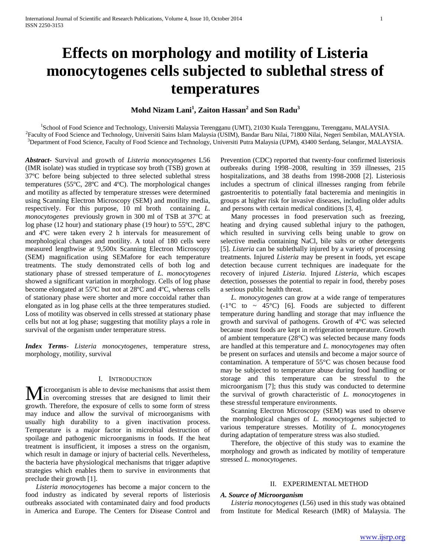# **Effects on morphology and motility of Listeria monocytogenes cells subjected to sublethal stress of temperatures**

# **Mohd Nizam Lani<sup>1</sup> , Zaiton Hassan<sup>2</sup> and Son Radu<sup>3</sup>**

<sup>1</sup>School of Food Science and Technology, Universiti Malaysia Terengganu (UMT), 21030 Kuala Terengganu, Terengganu, MALAYSIA. 2 Faculty of Food Science and Technology, Universiti Sains Islam Malaysia (USIM), Bandar Baru Nilai, 71800 Nilai, Negeri Sembilan, MALAYSIA. <sup>3</sup>Department of Food Science, Faculty of Food Science and Technology, Universiti Putra Malaysia (UPM), 43400 Serdang, Selangor, MALAYSIA.

*Abstract***-** Survival and growth of *Listeria monocytogenes* L56 (IMR isolate) was studied in trypticase soy broth (TSB) grown at 37ºC before being subjected to three selected sublethal stress temperatures (55ºC, 28ºC and 4ºC). The morphological changes and motility as affected by temperature stresses were determined using Scanning Electron Microscopy (SEM) and motility media, respectively. For this purpose, 10 ml broth containing *L. monocytogenes* previously grown in 300 ml of TSB at 37ºC at log phase (12 hour) and stationary phase (19 hour) to 55ºC, 28ºC and 4ºC were taken every 2 h intervals for measurement of morphological changes and motility. A total of 180 cells were measured lengthwise at 9,500x Scanning Electron Microscopy (SEM) magnification using SEMafore for each temperature treatments. The study demonstrated cells of both log and stationary phase of stressed temperature of *L. monocytogenes*  showed a significant variation in morphology. Cells of log phase become elongated at 55ºC but not at 28ºC and 4ºC, whereas cells of stationary phase were shorter and more coccoidal rather than elongated as in log phase cells at the three temperatures studied. Loss of motility was observed in cells stressed at stationary phase cells but not at log phase; suggesting that motility plays a role in survival of the organism under temperature stress.

*Index Terms*- *Listeria monocytogenes*, temperature stress, morphology, motility, survival

# I. INTRODUCTION

icroorganism is able to devise mechanisms that assist them **M** icroorganism is able to devise mechanisms that assist them in overcoming stresses that are designed to limit their growth. Therefore, the exposure of cells to some form of stress may induce and allow the survival of microorganisms with usually high durability to a given inactivation process. Temperature is a major factor in microbial destruction of spoilage and pathogenic microorganisms in foods. If the heat treatment is insufficient, it imposes a stress on the organism, which result in damage or injury of bacterial cells. Nevertheless, the bacteria have physiological mechanisms that trigger adaptive strategies which enables them to survive in environments that preclude their growth [1].

 *Listeria monocytogenes* has become a major concern to the food industry as indicated by several reports of listeriosis outbreaks associated with contaminated dairy and food products in America and Europe. The Centers for Disease Control and Prevention (CDC) reported that twenty-four confirmed listeriosis outbreaks during 1998–2008, resulting in 359 illnesses, 215 hospitalizations, and 38 deaths from 1998-2008 [2]. Listeriosis includes a spectrum of clinical illnesses ranging from febrile gastroenteritis to potentially fatal bacteremia and meningitis in groups at higher risk for invasive diseases, including older adults and persons with certain medical conditions [3, 4].

Many processes in food preservation such as freezing, heating and drying caused sublethal injury to the pathogen, which resulted in surviving cells being unable to grow on selective media containing NaCl, bile salts or other detergents [5]. *Listeria* can be sublethally injured by a variety of processing treatments. Injured *Listeria* may be present in foods, yet escape detection because current techniques are inadequate for the recovery of injured *Listeria*. Injured *Listeria*, which escapes detection, possesses the potential to repair in food, thereby poses a serious public health threat.

 *L. monocytogenes* can grow at a wide range of temperatures  $(-1^{\circ}\text{C}$  to ~ 45°C) [6]. Foods are subjected to different temperature during handling and storage that may influence the growth and survival of pathogens. Growth of 4°C was selected because most foods are kept in refrigeration temperature. Growth of ambient temperature (28°C) was selected because many foods are handled at this temperature and *L. monocytogenes* may often be present on surfaces and utensils and become a major source of contamination. A temperature of 55°C was chosen because food may be subjected to temperature abuse during food handling or storage and this temperature can be stressful to the microorganism [7]; thus this study was conducted to determine the survival of growth characteristic of *L. monocytogenes* in these stressful temperature environments.

Scanning Electron Microscopy (SEM) was used to observe the morphological changes of *L. monocytogenes* subjected to various temperature stresses. Motility of *L. monocytogenes*  during adaptation of temperature stress was also studied.

Therefore, the objective of this study was to examine the morphology and growth as indicated by motility of temperature stressed *L. monocytogenes*.

# II. EXPERIMENTAL METHOD

# *A. Source of Microorganism*

 *Listeria monocytogenes* (L56) used in this study was obtained from Institute for Medical Research (IMR) of Malaysia. The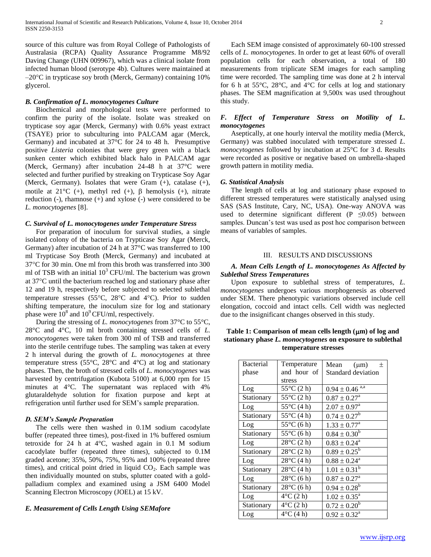source of this culture was from Royal College of Pathologists of Australasia (RCPA) Quality Assurance Programme M8/92 Daving Change (UHN 009967), which was a clinical isolate from infected human blood (serotype 4b). Cultures were maintained at  $-20^{\circ}$ C in trypticase soy broth (Merck, Germany) containing 10% glycerol.

# *B. Confirmation of L. monocytogenes Culture*

Biochemical and morphological tests were performed to confirm the purity of the isolate. Isolate was streaked on trypticase soy agar (Merck, Germany) with 0.6% yeast extract (TSAYE) prior to subculturing into PALCAM agar (Merck, Germany) and incubated at 37°C for 24 to 48 h. Presumptive positive *Listeria* colonies that were grey green with a black sunken center which exhibited black halo in PALCAM agar (Merck, Germany) after incubation 24-48 h at 37°C were selected and further purified by streaking on Trypticase Soy Agar (Merck, Germany). Isolates that were Gram (+), catalase (+), motile at  $21^{\circ}$ C (+), methyl red (+),  $\beta$  hemolysis (+), nitrate reduction (-), rhamnose (+) and xylose (-) were considered to be *L. monocytogenes* [8].

#### *C. Survival of L. monocytogenes under Temperature Stress*

For preparation of inoculum for survival studies, a single isolated colony of the bacteria on Trypticase Soy Agar (Merck, Germany) after incubation of 24 h at 37°C was transferred to 100 ml Trypticase Soy Broth (Merck, Germany) and incubated at 37°C for 30 min. One ml from this broth was transferred into 300 ml of TSB with an initial  $10^3$  CFU/ml. The bacterium was grown at 37°C until the bacterium reached log and stationary phase after 12 and 19 h, respectively before subjected to selected sublethal temperature stresses (55 $\degree$ C, 28 $\degree$ C and 4 $\degree$ C). Prior to sudden shifting temperature, the inoculum size for log and stationary phase were  $10^8$  and  $10^9$  CFU/ml, respectively.

During the stressing of *L. monocytogenes* from 37°C to 55°C, 28°C and 4°C, 10 ml broth containing stressed cells of *L. monocytogenes* were taken from 300 ml of TSB and transferred into the sterile centrifuge tubes. The sampling was taken at every 2 h interval during the growth of *L. monocytogenes* at three temperature stress (55°C, 28°C and 4°C) at log and stationary phases. Then, the broth of stressed cells of *L. monocytogenes* was harvested by centrifugation (Kubota 5100) at 6,000 rpm for 15 minutes at 4°C. The supernatant was replaced with 4% glutaraldehyde solution for fixation purpose and kept at refrigeration until further used for SEM's sample preparation.

## *D. SEM's Sample Preparation*

The cells were then washed in  $0.1M$  sodium cacodylate buffer (repeated three times), post-fixed in 1% buffered osmium tetroxide for 24 h at 4°C, washed again in 0.1 M sodium cacodylate buffer (repeated three times), subjected to 0.1M graded acetone; 35%, 50%, 75%, 95% and 100% (repeated three times), and critical point dried in liquid  $CO<sub>2</sub>$ . Each sample was then individually mounted on stubs, splutter coated with a goldpalladium complex and examined using a JSM 6400 Model Scanning Electron Microscopy (JOEL) at 15 kV.

# *E. Measurement of Cells Length Using SEMafore*

Each SEM image consisted of approximately 60-100 stressed cells of *L. monocytogenes*. In order to get at least 60% of overall population cells for each observation, a total of 180 measurements from triplicate SEM images for each sampling time were recorded. The sampling time was done at 2 h interval for 6 h at  $55^{\circ}$ C,  $28^{\circ}$ C, and  $4^{\circ}$ C for cells at log and stationary phases. The SEM magnification at 9,500x was used throughout this study.

# *F. Effect of Temperature Stress on Motility of L. monocytogenes*

Aseptically, at one hourly interval the motility media (Merck, Germany) was stabbed inoculated with temperature stressed *L. monocytogenes* followed by incubation at 25°C for 3 d. Results were recorded as positive or negative based on umbrella-shaped growth pattern in motility media.

#### *G. Statistical Analysis*

The length of cells at log and stationary phase exposed to different stressed temperatures were statistically analysed using SAS (SAS Institute, Cary, NC, USA). One-way ANOVA was used to determine significant different (P  $\leq$ 0.05) between samples. Duncan's test was used as post hoc comparison between means of variables of samples.

# III. RESULTS AND DISCUSSIONS

# *A. Mean Cells Length of L. monocytogenes As Affected by Sublethal Stress Temperatures*

Upon exposure to sublethal stress of temperatures, *L. monocytogenes* undergoes various morphogenesis as observed under SEM. There phenotypic variations observed include cell elongation, coccoid and intact cells. Cell width was neglected due to the insignificant changes observed in this study.

# Table 1: Comparison of mean cells length ( $\mu$ m) of log and **stationary phase** *L. monocytogenes* **on exposure to sublethal temperature stresses**

| <b>Bacterial</b> | Temperature            | Mean $(\mu m)$<br>$\,^+$       |
|------------------|------------------------|--------------------------------|
| phase            | and hour of            | <b>Standard deviation</b>      |
|                  | stress                 |                                |
| Log              | 55°C (2 h)             | $0.94 \pm 0.46$ <sup>a,a</sup> |
| Stationary       | $55^{\circ}$ C $(2 h)$ | $0.87 \pm 0.27^{\circ}$        |
| Log              | $55^{\circ}$ C (4 h)   | $2.07 \pm 0.97^{\text{a}}$     |
| Stationary       | $55^{\circ}$ C (4 h)   | $0.74 \pm 0.27^b$              |
| Log              | $55^{\circ}$ C $(6 h)$ | $1.33 \pm 0.77$ <sup>a</sup>   |
| Stationary       | $55^{\circ}$ C $(6 h)$ | $0.84 \pm 0.30^b$              |
| Log              | $28^{\circ}$ C $(2 h)$ | $0.83 \pm 0.24^a$              |
| Stationary       | $28^{\circ}$ C $(2 h)$ | $0.89 \pm 0.25^b$              |
| Log              | $28^{\circ}$ C (4 h)   | $0.88 \pm 0.24^a$              |
| Stationary       | $28^{\circ}$ C (4 h)   | $1.01 \pm 0.31^b$              |
| Log              | $28^{\circ}$ C (6 h)   | $0.87 \pm 0.27^{\rm a}$        |
| Stationary       | $28^{\circ}$ C (6 h)   | $0.94 \pm 0.28^b$              |
| Log              | $4^{\circ}$ C $(2 h)$  | $1.02 \pm 0.35^{\text{a}}$     |
| Stationary       | $4^{\circ}$ C $(2 h)$  | $0.72 \pm 0.20^b$              |
| Log              | $4^{\circ}$ C (4 h)    | $0.92 \pm 0.32^{\text{a}}$     |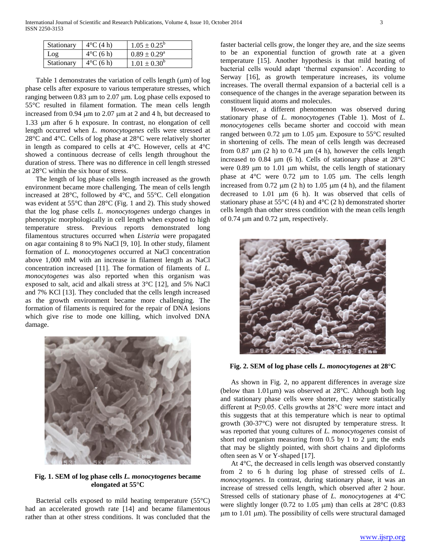| Stationary | $4^{\circ}$ C (4 h) | $1.05 \pm 0.25^{\rm b}$ |
|------------|---------------------|-------------------------|
| Log        | $4^{\circ}$ C (6 h) | $0.89 \pm 0.29^{\circ}$ |
| Stationary | $4^{\circ}$ C (6 h) | $1.01 \pm 0.30^b$       |

Table 1 demonstrates the variation of cells length  $(\mu m)$  of log phase cells after exposure to various temperature stresses, which ranging between  $0.83 \mu m$  to  $2.07 \mu m$ . Log phase cells exposed to 55°C resulted in filament formation. The mean cells length increased from  $0.94 \mu m$  to  $2.07 \mu m$  at 2 and 4 h, but decreased to 1.33 µm after 6 h exposure. In contrast, no elongation of cell length occurred when *L. monocytogenes* cells were stressed at 28°C and 4°C. Cells of log phase at 28°C were relatively shorter in length as compared to cells at 4°C. However, cells at 4°C showed a continuous decrease of cells length throughout the duration of stress. There was no difference in cell length stressed at 28°C within the six hour of stress.

The length of log phase cells length increased as the growth environment became more challenging. The mean of cells length increased at 28°C, followed by 4°C, and 55°C. Cell elongation was evident at 55°C than 28°C (Fig. 1 and 2). This study showed that the log phase cells *L. monocytogenes* undergo changes in phenotypic morphologically in cell length when exposed to high temperature stress. Previous reports demonstrated long filamentous structures occurred when *Listeria* were propagated on agar containing 8 to 9% NaCl [9, 10]. In other study, filament formation of *L. monocytogenes* occurred at NaCl concentration above 1,000 mM with an increase in filament length as NaCl concentration increased [11]. The formation of filaments of *L. monocytogenes* was also reported when this organism was exposed to salt, acid and alkali stress at 3°C [12], and 5% NaCl and 7% KCl [13]. They concluded that the cells length increased as the growth environment became more challenging. The formation of filaments is required for the repair of DNA lesions which give rise to mode one killing, which involved DNA damage.



**Fig. 1. SEM of log phase cells** *L. monocytogenes* **became elongated at 55°C**

Bacterial cells exposed to mild heating temperature  $(55^{\circ}C)$ had an accelerated growth rate [14] and became filamentous rather than at other stress conditions. It was concluded that the faster bacterial cells grow, the longer they are, and the size seems to be an exponential function of growth rate at a given temperature [15]. Another hypothesis is that mild heating of bacterial cells would adapt 'thermal expansion'. According to Serway [16], as growth temperature increases, its volume increases. The overall thermal expansion of a bacterial cell is a consequence of the changes in the average separation between its constituent liquid atoms and molecules.

However, a different phenomenon was observed during stationary phase of *L. monocytogenes* (Table 1). Most of *L. monocytogenes* cells became shorter and coccoid with mean ranged between 0.72  $\mu$ m to 1.05  $\mu$ m. Exposure to 55°C resulted in shortening of cells. The mean of cells length was decreased from 0.87  $\mu$ m (2 h) to 0.74  $\mu$ m (4 h), however the cells length increased to 0.84  $\mu$ m (6 h). Cells of stationary phase at 28 $\degree$ C were  $0.89 \mu m$  to  $1.01 \mu m$  whilst, the cells length of stationary phase at  $4^{\circ}$ C were 0.72  $\mu$ m to 1.05  $\mu$ m. The cells length increased from  $0.72 \mu m$  (2 h) to  $1.05 \mu m$  (4 h), and the filament decreased to 1.01 µm (6 h). It was observed that cells of stationary phase at  $55^{\circ}$ C (4 h) and  $4^{\circ}$ C (2 h) demonstrated shorter cells length than other stress condition with the mean cells length of  $0.74 \mu m$  and  $0.72 \mu m$ , respectively.



**Fig. 2. SEM of log phase cells** *L. monocytogenes* **at 28°C**

As shown in Fig. 2, no apparent differences in average size (below than  $1.01 \mu m$ ) was observed at 28°C. Although both log and stationary phase cells were shorter, they were statistically different at P≤0.05. Cells growths at 28°C were more intact and this suggests that at this temperature which is near to optimal growth (30-37°C) were not disrupted by temperature stress. It was reported that young cultures of *L. monocytogenes* consist of short rod organism measuring from  $0.5$  by 1 to 2  $\mu$ m; the ends that may be slightly pointed, with short chains and diploforms often seen as V or Y-shaped [17].

At 4°C, the decreased in cells length was observed constantly from 2 to 6 h during log phase of stressed cells of *L. monocytogenes*. In contrast, during stationary phase, it was an increase of stressed cells length, which observed after 2 hour. Stressed cells of stationary phase of *L. monocytogenes* at 4°C were slightly longer (0.72 to 1.05  $\mu$ m) than cells at 28 $\degree$ C (0.83  $\mu$ m to 1.01  $\mu$ m). The possibility of cells were structural damaged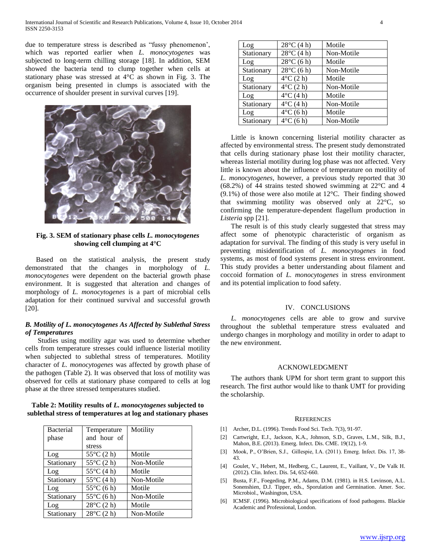due to temperature stress is described as "fussy phenomenon', which was reported earlier when *L. monocytogenes* was subjected to long-term chilling storage [18]. In addition, SEM showed the bacteria tend to clump together when cells at stationary phase was stressed at 4°C as shown in Fig. 3. The organism being presented in clumps is associated with the occurrence of shoulder present in survival curves [19].



**Fig. 3. SEM of stationary phase cells** *L. monocytogenes* **showing cell clumping at 4°C**

Based on the statistical analysis, the present study demonstrated that the changes in morphology of *L. monocytogenes* were dependent on the bacterial growth phase environment. It is suggested that alteration and changes of morphology of *L. monocytogenes* is a part of microbial cells adaptation for their continued survival and successful growth [20].

# *B. Motility of L. monocytogenes As Affected by Sublethal Stress of Temperatures*

Studies using motility agar was used to determine whether cells from temperature stresses could influence listerial motility when subjected to sublethal stress of temperatures. Motility character of *L. monocytogenes* was affected by growth phase of the pathogen (Table 2). It was observed that loss of motility was observed for cells at stationary phase compared to cells at log phase at the three stressed temperatures studied.

**Table 2: Motility results of** *L. monocytogenes* **subjected to sublethal stress of temperatures at log and stationary phases**

| <b>Bacterial</b> | Temperature            | Motility   |
|------------------|------------------------|------------|
| phase            | and hour of            |            |
|                  | stress                 |            |
| Log              | $55^{\circ}$ C $(2 h)$ | Motile     |
| Stationary       | $55^{\circ}$ C $(2 h)$ | Non-Motile |
| Log              | $55^{\circ}$ C (4 h)   | Motile     |
| Stationary       | $55^{\circ}$ C (4 h)   | Non-Motile |
| Log              | $55^{\circ}$ C $(6 h)$ | Motile     |
| Stationary       | $55^{\circ}$ C $(6h)$  | Non-Motile |
| Log              | $28^{\circ}$ C (2 h)   | Motile     |
| Stationary       | $28^{\circ}$ C (2 h)   | Non-Motile |

| Log        | $28^{\circ}$ C (4 h)  | Motile     |
|------------|-----------------------|------------|
| Stationary | $28^{\circ}$ C (4 h)  | Non-Motile |
| Log        | $28^{\circ}$ C (6 h)  | Motile     |
| Stationary | $28^{\circ}$ C (6 h)  | Non-Motile |
| Log        | $4^{\circ}$ C $(2 h)$ | Motile     |
| Stationary | $4^{\circ}$ C $(2 h)$ | Non-Motile |
| Log        | $4^{\circ}$ C (4 h)   | Motile     |
| Stationary | $4^{\circ}$ C (4 h)   | Non-Motile |
| Log        | $4^{\circ}$ C (6 h)   | Motile     |
| Stationary | $4^{\circ}$ C (6 h)   | Non-Motile |

Little is known concerning listerial motility character as affected by environmental stress. The present study demonstrated that cells during stationary phase lost their motility character, whereas listerial motility during log phase was not affected. Very little is known about the influence of temperature on motility of *L. monocytogenes*, however, a previous study reported that 30 (68.2%) of 44 strains tested showed swimming at 22°C and 4 (9.1%) of those were also motile at 12°C. Their finding showed that swimming motility was observed only at 22°C, so confirming the temperature-dependent flagellum production in *Listeria* spp [21].

The result is of this study clearly suggested that stress may affect some of phenotypic characteristic of organism as adaptation for survival. The finding of this study is very useful in preventing misidentification of *L. monocytogenes* in food systems, as most of food systems present in stress environment. This study provides a better understanding about filament and coccoid formation of *L. monocytogenes* in stress environment and its potential implication to food safety.

## IV. CONCLUSIONS

 *L. monocytogenes* cells are able to grow and survive throughout the sublethal temperature stress evaluated and undergo changes in morphology and motility in order to adapt to the new environment.

#### ACKNOWLEDGMENT

The authors thank UPM for short term grant to support this research. The first author would like to thank UMT for providing the scholarship.

#### **REFERENCES**

- [1] Archer, D.L. (1996). Trends Food Sci. Tech. 7(3), 91-97.
- [2] Cartwright, E.J., Jackson, K.A., Johnson, S.D., Graves, L.M., Silk, B.J., Mahon, B.E. (2013). Emerg. Infect. Dis. CME. 19(12), 1-9.
- [3] Mook, P., O'Brien, S.J., Gillespie, I.A. (2011). Emerg. Infect. Dis. 17, 38- 43.
- [4] Goulet, V., Hebert, M., Hedberg, C., Laurent, E., Vaillant, V., De Valk H. (2012). Clin. Infect. Dis. 54, 652-660.
- [5] Busta, F.F., Foegeding, P.M., Adams, D.M. (1981). in H.S. Levinson, A.L. Sonenshien, D.J. Tipper, eds., Sporulation and Germination. Amer. Soc. Microbiol., Washington, USA.
- [6] ICMSF. (1996). Microbiological specifications of food pathogens. Blackie Academic and Professional, London.